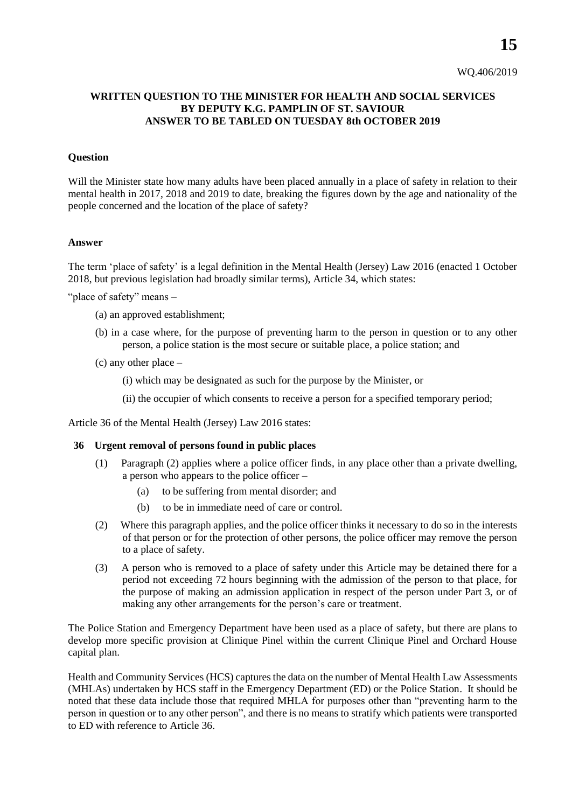## **WRITTEN QUESTION TO THE MINISTER FOR HEALTH AND SOCIAL SERVICES BY DEPUTY K.G. PAMPLIN OF ST. SAVIOUR ANSWER TO BE TABLED ON TUESDAY 8th OCTOBER 2019**

## **Question**

Will the Minister state how many adults have been placed annually in a place of safety in relation to their mental health in 2017, 2018 and 2019 to date, breaking the figures down by the age and nationality of the people concerned and the location of the place of safety?

## **Answer**

The term 'place of safety' is a legal definition in the Mental Health (Jersey) Law 2016 (enacted 1 October 2018, but previous legislation had broadly similar terms), Article 34, which states:

"place of safety" means -

- (a) an approved establishment;
- (b) in a case where, for the purpose of preventing harm to the person in question or to any other person, a police station is the most secure or suitable place, a police station; and
- (c) any other place
	- (i) which may be designated as such for the purpose by the Minister, or
	- (ii) the occupier of which consents to receive a person for a specified temporary period;

Article 36 of the Mental Health (Jersey) Law 2016 states:

## **36 Urgent removal of persons found in public places**

- (1) Paragraph (2) applies where a police officer finds, in any place other than a private dwelling, a person who appears to the police officer –
	- (a) to be suffering from mental disorder; and
	- (b) to be in immediate need of care or control.
- (2) Where this paragraph applies, and the police officer thinks it necessary to do so in the interests of that person or for the protection of other persons, the police officer may remove the person to a place of safety.
- (3) A person who is removed to a place of safety under this Article may be detained there for a period not exceeding 72 hours beginning with the admission of the person to that place, for the purpose of making an admission application in respect of the person under Part 3, or of making any other arrangements for the person's care or treatment.

The Police Station and Emergency Department have been used as a place of safety, but there are plans to develop more specific provision at Clinique Pinel within the current Clinique Pinel and Orchard House capital plan.

Health and Community Services (HCS) captures the data on the number of Mental Health Law Assessments (MHLAs) undertaken by HCS staff in the Emergency Department (ED) or the Police Station. It should be noted that these data include those that required MHLA for purposes other than "preventing harm to the person in question or to any other person", and there is no means to stratify which patients were transported to ED with reference to Article 36.